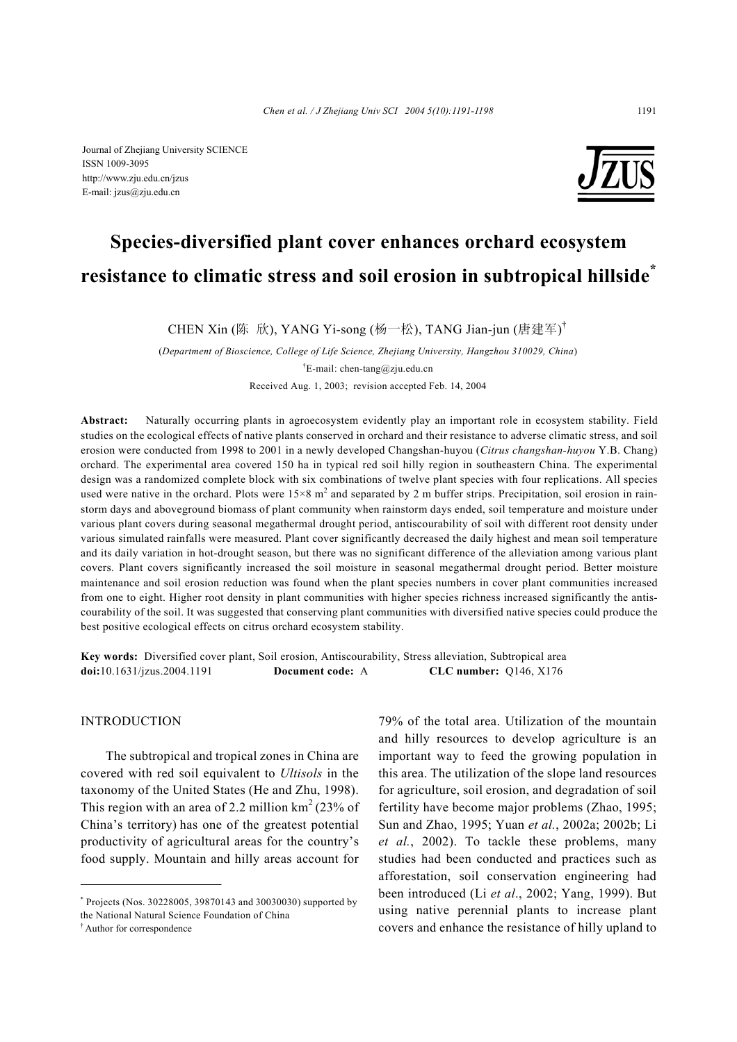Journal of Zhejiang University SCIENCE ISSN 1009-3095 http://www.zju.edu.cn/jzus E-mail: jzus@zju.edu.cn



# **Species-diversified plant cover enhances orchard ecosystem resistance to climatic stress and soil erosion in subtropical hillside\***

CHEN Xin (陈 欣), YANG Yi-song (杨一松), TANG Jian-jun (唐建军)<sup>†</sup>

(*Department of Bioscience, College of Life Science, Zhejiang University, Hangzhou 310029, China*) <sup>†</sup>E-mail: chen-tang@zju.edu.cn Received Aug. 1, 2003; revision accepted Feb. 14, 2004

**Abstract:** Naturally occurring plants in agroecosystem evidently play an important role in ecosystem stability. Field studies on the ecological effects of native plants conserved in orchard and their resistance to adverse climatic stress, and soil erosion were conducted from 1998 to 2001 in a newly developed Changshan-huyou (*Citrus changshan-huyou* Y.B. Chang) orchard. The experimental area covered 150 ha in typical red soil hilly region in southeastern China. The experimental design was a randomized complete block with six combinations of twelve plant species with four replications. All species used were native in the orchard. Plots were  $15\times8$  m<sup>2</sup> and separated by 2 m buffer strips. Precipitation, soil erosion in rainstorm days and aboveground biomass of plant community when rainstorm days ended, soil temperature and moisture under various plant covers during seasonal megathermal drought period, antiscourability of soil with different root density under various simulated rainfalls were measured. Plant cover significantly decreased the daily highest and mean soil temperature and its daily variation in hot-drought season, but there was no significant difference of the alleviation among various plant covers. Plant covers significantly increased the soil moisture in seasonal megathermal drought period. Better moisture maintenance and soil erosion reduction was found when the plant species numbers in cover plant communities increased from one to eight. Higher root density in plant communities with higher species richness increased significantly the antiscourability of the soil. It was suggested that conserving plant communities with diversified native species could produce the best positive ecological effects on citrus orchard ecosystem stability.

**Key words:** Diversified cover plant, Soil erosion, Antiscourability, Stress alleviation, Subtropical area **doi:**10.1631/jzus.2004.1191 **Document code:** A **CLC number:** Q146, X176

## INTRODUCTION

The subtropical and tropical zones in China are covered with red soil equivalent to *Ultisols* in the taxonomy of the United States (He and Zhu, 1998). This region with an area of 2.2 million  $km<sup>2</sup> (23% of$ China's territory) has one of the greatest potential productivity of agricultural areas for the country's food supply. Mountain and hilly areas account for

79% of the total area. Utilization of the mountain and hilly resources to develop agriculture is an important way to feed the growing population in this area. The utilization of the slope land resources for agriculture, soil erosion, and degradation of soil fertility have become major problems (Zhao, 1995; Sun and Zhao, 1995; Yuan *et al.*, 2002a; 2002b; Li *et al.*, 2002). To tackle these problems, many studies had been conducted and practices such as afforestation, soil conservation engineering had been introduced (Li *et al*., 2002; Yang, 1999). But using native perennial plants to increase plant covers and enhance the resistance of hilly upland to

<sup>\*</sup> Projects (Nos. 30228005, 39870143 and 30030030) supported by the National Natural Science Foundation of China

<sup>†</sup> Author for correspondence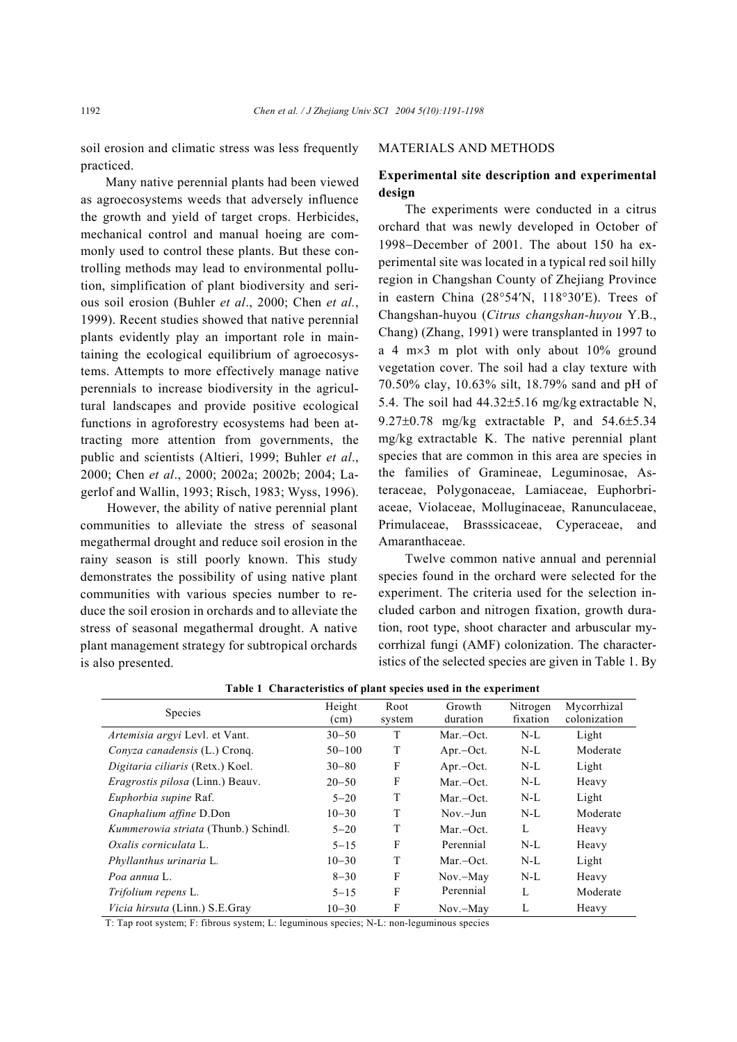soil erosion and climatic stress was less frequently practiced.

Many native perennial plants had been viewed as agroecosystems weeds that adversely influence the growth and yield of target crops. Herbicides, mechanical control and manual hoeing are commonly used to control these plants. But these controlling methods may lead to environmental pollution, simplification of plant biodiversity and serious soil erosion (Buhler *et al*., 2000; Chen *et al.*, 1999). Recent studies showed that native perennial plants evidently play an important role in maintaining the ecological equilibrium of agroecosystems. Attempts to more effectively manage native perennials to increase biodiversity in the agricultural landscapes and provide positive ecological functions in agroforestry ecosystems had been attracting more attention from governments, the public and scientists (Altieri, 1999; Buhler *et al*., 2000; Chen *et al*., 2000; 2002a; 2002b; 2004; Lagerlof and Wallin, 1993; Risch, 1983; Wyss, 1996).

However, the ability of native perennial plant communities to alleviate the stress of seasonal megathermal drought and reduce soil erosion in the rainy season is still poorly known. This study demonstrates the possibility of using native plant communities with various species number to reduce the soil erosion in orchards and to alleviate the stress of seasonal megathermal drought. A native plant management strategy for subtropical orchards is also presented.

## MATERIALS AND METHODS

# **Experimental site description and experimental design**

The experiments were conducted in a citrus orchard that was newly developed in October of 1998−December of 2001. The about 150 ha experimental site was located in a typical red soil hilly region in Changshan County of Zhejiang Province in eastern China (28°54′N, 118°30′E). Trees of Changshan-huyou (*Citrus changshan-huyou* Y.B., Chang) (Zhang, 1991) were transplanted in 1997 to a 4 m×3 m plot with only about 10% ground vegetation cover. The soil had a clay texture with 70.50% clay, 10.63% silt, 18.79% sand and pH of 5.4. The soil had 44.32±5.16 mg/kg extractable N, 9.27±0.78 mg/kg extractable P, and 54.6±5.34 mg/kg extractable K. The native perennial plant species that are common in this area are species in the families of Gramineae, Leguminosae, Asteraceae, Polygonaceae, Lamiaceae, Euphorbriaceae, Violaceae, Molluginaceae, Ranunculaceae, Primulaceae, Brasssicaceae, Cyperaceae, and Amaranthaceae.

Twelve common native annual and perennial species found in the orchard were selected for the experiment. The criteria used for the selection included carbon and nitrogen fixation, growth duration, root type, shoot character and arbuscular mycorrhizal fungi (AMF) colonization. The characteristics of the selected species are given in Table 1. By

| <b>Species</b>                              | Height     | Root   | Growth        | Nitrogen | Mycorrhizal  |
|---------------------------------------------|------------|--------|---------------|----------|--------------|
|                                             | (cm)       | system | duration      | fixation | colonization |
| <i>Artemisia argyi</i> Levl. et Vant.       | $30 - 50$  | T      | Mar.-Oct.     | $N-L$    | Light        |
| <i>Conyza canadensis</i> (L.) Cronq.        | $50 - 100$ | T      | $Apr.-Oct.$   | $N-L$    | Moderate     |
| Digitaria ciliaris (Retx.) Koel.            | $30 - 80$  | F      | $Apr. -Oct.$  | $N-L$    | Light        |
| <i>Eragrostis pilosa</i> (Linn.) Beauv.     | $20 - 50$  | F      | $Mar$ – $Oct$ | $N-L$    | Heavy        |
| Euphorbia supine Raf.                       | $5 - 20$   | T      | $Mar$ – $Oct$ | $N-L$    | Light        |
| Gnaphalium affine D.Don                     | $10 - 30$  | T      | $Now - Jun$   | $N-L$    | Moderate     |
| <i>Kummerowia striata</i> (Thunb.) Schindl. | $5 - 20$   | T      | Mar.-Oct.     | L        | Heavy        |
| Oxalis corniculata L.                       | $5 - 15$   | F      | Perennial     | $N-L$    | Heavy        |
| <i>Phyllanthus urinaria</i> L.              | $10 - 30$  | T      | $Mar$ – $Oct$ | $N-L$    | Light        |
| Poa annua L                                 | $8 - 30$   | F      | Nov.-May      | $N-L$    | Heavy        |
| Trifolium repens L.                         | $5 - 15$   | F      | Perennial     | L        | Moderate     |
| Vicia hirsuta (Linn.) S.E.Gray              | $10 - 30$  | F      | $Nov. - May$  | L        | Heavy        |

**Table 1 Characteristics of plant species used in the experiment** 

T: Tap root system; F: fibrous system; L: leguminous species; N-L: non-leguminous species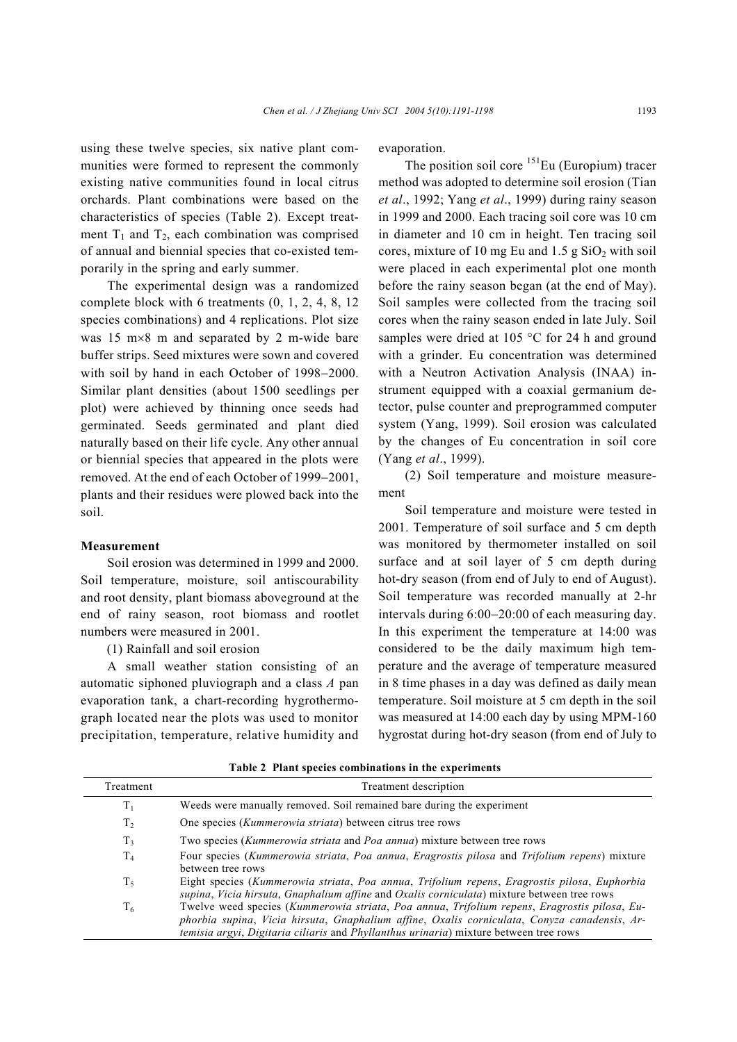using these twelve species, six native plant communities were formed to represent the commonly existing native communities found in local citrus orchards. Plant combinations were based on the characteristics of species (Table 2). Except treatment  $T_1$  and  $T_2$ , each combination was comprised of annual and biennial species that co-existed temporarily in the spring and early summer.

The experimental design was a randomized complete block with 6 treatments (0, 1, 2, 4, 8, 12 species combinations) and 4 replications. Plot size was 15 m×8 m and separated by 2 m-wide bare buffer strips. Seed mixtures were sown and covered with soil by hand in each October of 1998−2000. Similar plant densities (about 1500 seedlings per plot) were achieved by thinning once seeds had germinated. Seeds germinated and plant died naturally based on their life cycle. Any other annual or biennial species that appeared in the plots were removed. At the end of each October of 1999−2001, plants and their residues were plowed back into the soil.

## **Measurement**

Soil erosion was determined in 1999 and 2000. Soil temperature, moisture, soil antiscourability and root density, plant biomass aboveground at the end of rainy season, root biomass and rootlet numbers were measured in 2001.

(1) Rainfall and soil erosion

A small weather station consisting of an automatic siphoned pluviograph and a class *A* pan evaporation tank, a chart-recording hygrothermograph located near the plots was used to monitor precipitation, temperature, relative humidity and evaporation.

The position soil core  $^{151}$ Eu (Europium) tracer method was adopted to determine soil erosion (Tian *et al*., 1992; Yang *et al*., 1999) during rainy season in 1999 and 2000. Each tracing soil core was 10 cm in diameter and 10 cm in height. Ten tracing soil cores, mixture of 10 mg Eu and  $1.5$  g  $SiO<sub>2</sub>$  with soil were placed in each experimental plot one month before the rainy season began (at the end of May). Soil samples were collected from the tracing soil cores when the rainy season ended in late July. Soil samples were dried at 105 °C for 24 h and ground with a grinder. Eu concentration was determined with a Neutron Activation Analysis (INAA) instrument equipped with a coaxial germanium detector, pulse counter and preprogrammed computer system (Yang, 1999). Soil erosion was calculated by the changes of Eu concentration in soil core (Yang *et al*., 1999).

(2) Soil temperature and moisture measurement

Soil temperature and moisture were tested in 2001. Temperature of soil surface and 5 cm depth was monitored by thermometer installed on soil surface and at soil layer of 5 cm depth during hot-dry season (from end of July to end of August). Soil temperature was recorded manually at 2-hr intervals during 6:00−20:00 of each measuring day. In this experiment the temperature at 14:00 was considered to be the daily maximum high temperature and the average of temperature measured in 8 time phases in a day was defined as daily mean temperature. Soil moisture at 5 cm depth in the soil was measured at 14:00 each day by using MPM-160 hygrostat during hot-dry season (from end of July to

| Treatment      | Treatment description                                                                                                                                                                                                                                                                 |
|----------------|---------------------------------------------------------------------------------------------------------------------------------------------------------------------------------------------------------------------------------------------------------------------------------------|
| $T_{1}$        | Weeds were manually removed. Soil remained bare during the experiment                                                                                                                                                                                                                 |
| T <sub>2</sub> | One species ( <i>Kummerowia striata</i> ) between citrus tree rows                                                                                                                                                                                                                    |
| T3             | Two species ( <i>Kummerowia striata</i> and <i>Poa annua</i> ) mixture between tree rows                                                                                                                                                                                              |
| $T_{4}$        | Four species (Kummerowia striata, Poa annua, Eragrostis pilosa and Trifolium repens) mixture<br>between tree rows                                                                                                                                                                     |
| $T_5$          | Eight species (Kummerowia striata, Poa annua, Trifolium repens, Eragrostis pilosa, Euphorbia<br>supina, Vicia hirsuta, Gnaphalium affine and Oxalis corniculata) mixture between tree rows                                                                                            |
| $T_6$          | Twelve weed species (Kummerowia striata, Poa annua, Trifolium repens, Eragrostis pilosa, Eu-<br>phorbia supina, Vicia hirsuta, Gnaphalium affine, Oxalis corniculata, Conyza canadensis, Ar-<br>temisia argyi, Digitaria ciliaris and Phyllanthus urinaria) mixture between tree rows |

**Table 2 Plant species combinations in the experiments**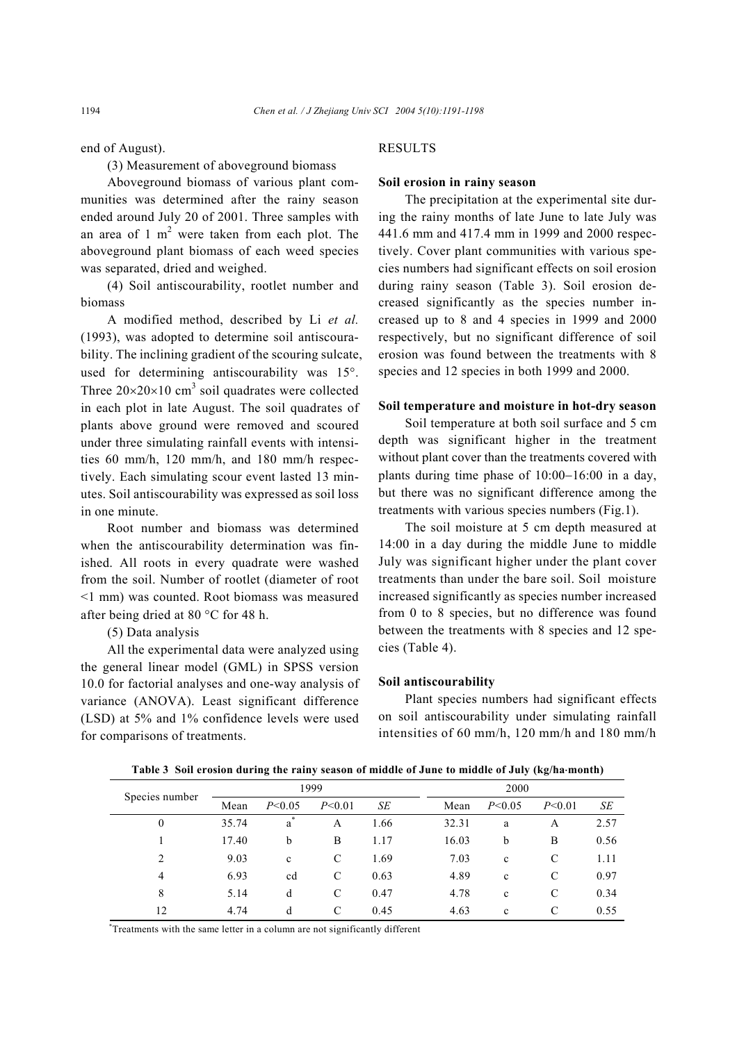end of August).

(3) Measurement of aboveground biomass

Aboveground biomass of various plant communities was determined after the rainy season ended around July 20 of 2001. Three samples with an area of 1  $m<sup>2</sup>$  were taken from each plot. The aboveground plant biomass of each weed species was separated, dried and weighed.

(4) Soil antiscourability, rootlet number and biomass

A modified method, described by Li *et al.* (1993), was adopted to determine soil antiscourability. The inclining gradient of the scouring sulcate, used for determining antiscourability was 15°. Three  $20 \times 20 \times 10$  cm<sup>3</sup> soil quadrates were collected in each plot in late August. The soil quadrates of plants above ground were removed and scoured under three simulating rainfall events with intensities 60 mm/h, 120 mm/h, and 180 mm/h respectively. Each simulating scour event lasted 13 minutes. Soil antiscourability was expressed as soil loss in one minute.

Root number and biomass was determined when the antiscourability determination was finished. All roots in every quadrate were washed from the soil. Number of rootlet (diameter of root <1 mm) was counted. Root biomass was measured after being dried at 80 °C for 48 h.

(5) Data analysis

All the experimental data were analyzed using the general linear model (GML) in SPSS version 10.0 for factorial analyses and one-way analysis of variance (ANOVA). Least significant difference (LSD) at 5% and 1% confidence levels were used for comparisons of treatments.

## RESULTS

## **Soil erosion in rainy season**

The precipitation at the experimental site during the rainy months of late June to late July was 441.6 mm and 417.4 mm in 1999 and 2000 respectively. Cover plant communities with various species numbers had significant effects on soil erosion during rainy season (Table 3). Soil erosion decreased significantly as the species number increased up to 8 and 4 species in 1999 and 2000 respectively, but no significant difference of soil erosion was found between the treatments with 8 species and 12 species in both 1999 and 2000.

#### **Soil temperature and moisture in hot-dry season**

Soil temperature at both soil surface and 5 cm depth was significant higher in the treatment without plant cover than the treatments covered with plants during time phase of 10:00−16:00 in a day, but there was no significant difference among the treatments with various species numbers (Fig.1).

The soil moisture at 5 cm depth measured at 14:00 in a day during the middle June to middle July was significant higher under the plant cover treatments than under the bare soil. Soil moisture increased significantly as species number increased from 0 to 8 species, but no difference was found between the treatments with 8 species and 12 species (Table 4).

## **Soil antiscourability**

Plant species numbers had significant effects on soil antiscourability under simulating rainfall intensities of 60 mm/h, 120 mm/h and 180 mm/h

1999 2000 Species number  $\frac{P}{\text{Mean}}$   $P \le 0.05$   $P \le 0.01$  *SE* **Mean**  $P \le 0.05$   $P \le 0.01$  *SE* 0 35.74 a A 1.66 32.31 a A 2.57 1 17.40 b B 1.17 16.03 b B 0.56 2 9.03 c C 1.69 7.03 c C 1.11 4 6.93 cd C 0.63 4.89 c C 0.97 8 5.14 d C 0.47 4.78 c C 0.34 12 4.74 d C 0.45 4.63 c C 0.55

**Table 3 Soil erosion during the rainy season of middle of June to middle of July (kg/ha**⋅**month)** 

\* Treatments with the same letter in a column are not significantly different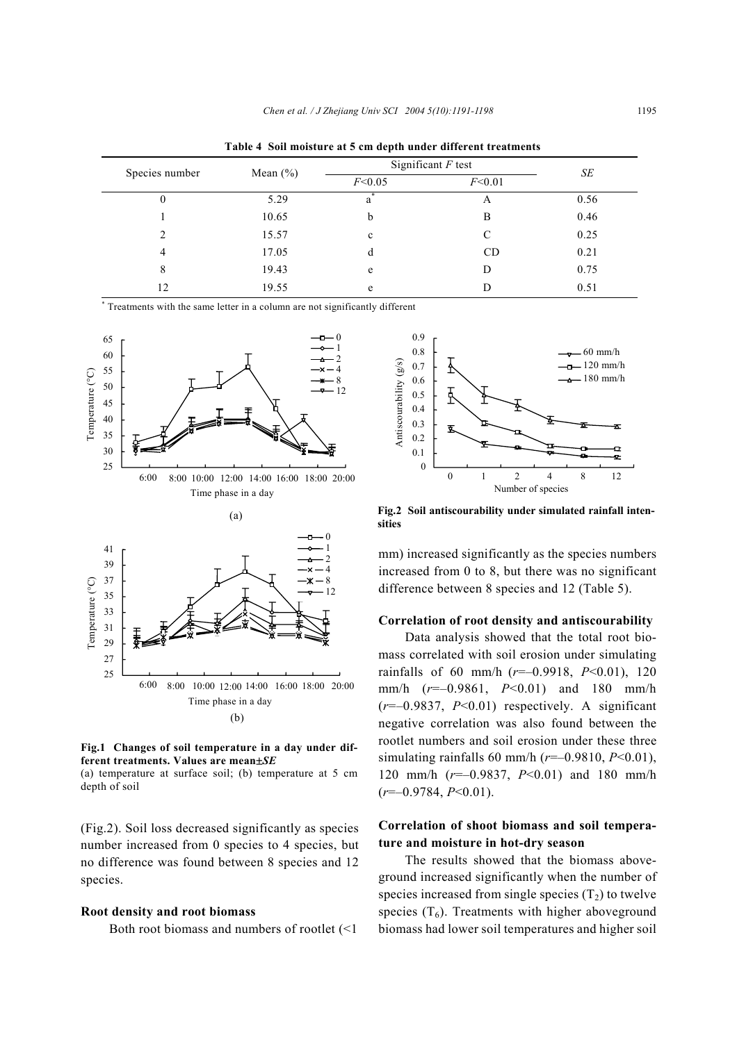| Species number |             | Significant $F$ test |        |      |
|----------------|-------------|----------------------|--------|------|
|                | Mean $(\%)$ | F<0.05               | F<0.01 | SЕ   |
| $\mathbf{0}$   | 5.29        | a                    | A      | 0.56 |
|                | 10.65       | b                    | B      | 0.46 |
| $\mathfrak{D}$ | 15.57       | $\mathbf c$          | C      | 0.25 |
| $\overline{4}$ | 17.05       | d                    | CD     | 0.21 |
| 8              | 19.43       | e                    | D      | 0.75 |
| 12             | 19.55       | e                    |        | 0.51 |

**Table 4 Soil moisture at 5 cm depth under different treatments** 

\* Treatments with the same letter in a column are not significantly different



**Fig.1 Changes of soil temperature in a day under different treatments. Values are mean**±*SE*

(a) temperature at surface soil; (b) temperature at 5 cm depth of soil

(Fig.2). Soil loss decreased significantly as species number increased from 0 species to 4 species, but no difference was found between 8 species and 12 species.

#### **Root density and root biomass**

Both root biomass and numbers of rootlet (<1



**Fig.2 Soil antiscourability under simulated rainfall intensities** 

mm) increased significantly as the species numbers increased from 0 to 8, but there was no significant difference between 8 species and 12 (Table 5).

## **Correlation of root density and antiscourability**

Data analysis showed that the total root biomass correlated with soil erosion under simulating rainfalls of 60 mm/h (*r*=–0.9918, *P*<0.01), 120 mm/h (*r*=–0.9861, *P*<0.01) and 180 mm/h (*r*=–0.9837, *P*<0.01) respectively. A significant negative correlation was also found between the rootlet numbers and soil erosion under these three simulating rainfalls 60 mm/h (*r*=–0.9810, *P*<0.01), 120 mm/h (*r*=–0.9837, *P*<0.01) and 180 mm/h (*r*=–0.9784, *P*<0.01).

## **Correlation of shoot biomass and soil temperature and moisture in hot-dry season**

The results showed that the biomass aboveground increased significantly when the number of species increased from single species  $(T_2)$  to twelve species  $(T_6)$ . Treatments with higher aboveground biomass had lower soil temperatures and higher soil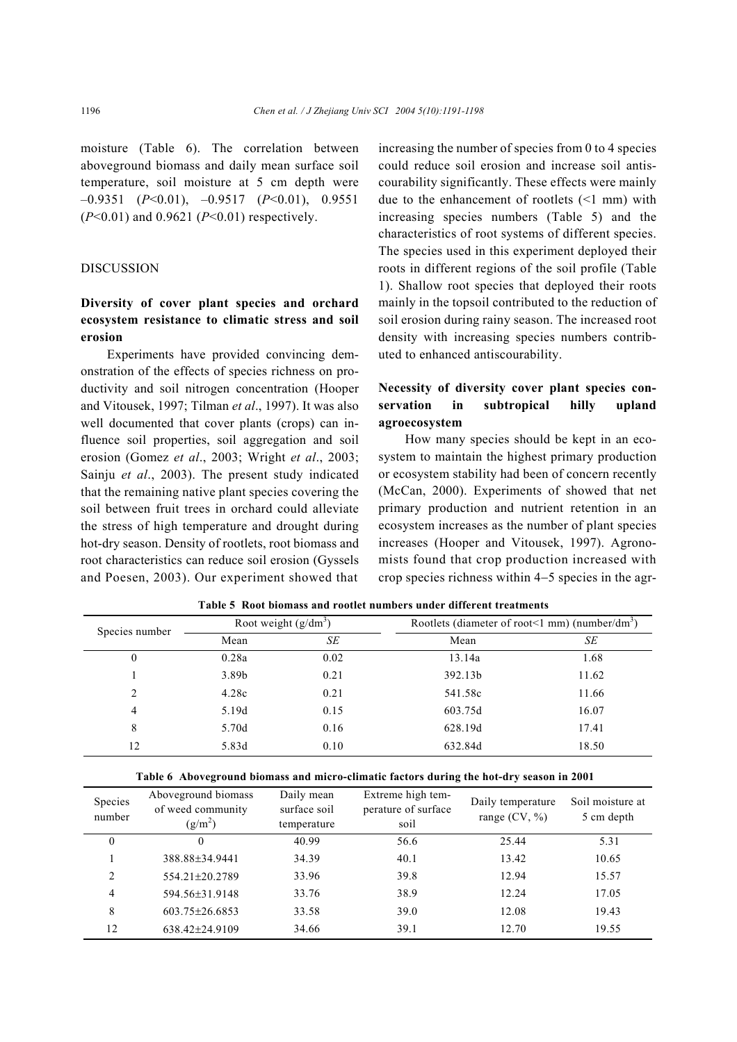moisture (Table 6). The correlation between aboveground biomass and daily mean surface soil temperature, soil moisture at 5 cm depth were –0.9351 (*P*<0.01), –0.9517 (*P*<0.01), 0.9551 (*P*<0.01) and 0.9621 (*P*<0.01) respectively.

## **DISCUSSION**

# **Diversity of cover plant species and orchard ecosystem resistance to climatic stress and soil erosion**

Experiments have provided convincing demonstration of the effects of species richness on productivity and soil nitrogen concentration (Hooper and Vitousek, 1997; Tilman *et al*., 1997). It was also well documented that cover plants (crops) can influence soil properties, soil aggregation and soil erosion (Gomez *et al*., 2003; Wright *et al*., 2003; Sainju *et al*., 2003). The present study indicated that the remaining native plant species covering the soil between fruit trees in orchard could alleviate the stress of high temperature and drought during hot-dry season. Density of rootlets, root biomass and root characteristics can reduce soil erosion (Gyssels and Poesen, 2003). Our experiment showed that

increasing the number of species from 0 to 4 species could reduce soil erosion and increase soil antiscourability significantly. These effects were mainly due to the enhancement of rootlets (<1 mm) with increasing species numbers (Table 5) and the characteristics of root systems of different species. The species used in this experiment deployed their roots in different regions of the soil profile (Table 1). Shallow root species that deployed their roots mainly in the topsoil contributed to the reduction of soil erosion during rainy season. The increased root density with increasing species numbers contributed to enhanced antiscourability.

# **Necessity of diversity cover plant species conservation in subtropical hilly upland agroecosystem**

How many species should be kept in an ecosystem to maintain the highest primary production or ecosystem stability had been of concern recently (McCan, 2000). Experiments of showed that net primary production and nutrient retention in an ecosystem increases as the number of plant species increases (Hooper and Vitousek, 1997). Agronomists found that crop production increased with crop species richness within 4−5 species in the agr-

| Species number | Root weight $(g/dm^3)$ |      | Rootlets (diameter of root < 1 mm) (number/dm <sup>3</sup> ) |       |  |
|----------------|------------------------|------|--------------------------------------------------------------|-------|--|
|                | Mean                   | SЕ   | Mean                                                         | SE    |  |
| 0              | 0.28a                  | 0.02 | 13.14a                                                       | 1.68  |  |
|                | 3.89b                  | 0.21 | 392.13b                                                      | 11.62 |  |
| 2              | 4.28c                  | 0.21 | 541.58c                                                      | 11.66 |  |
| 4              | 5.19d                  | 0.15 | 603.75d                                                      | 16.07 |  |
| 8              | 5.70d                  | 0.16 | 628.19d                                                      | 17.41 |  |
| 12             | 5.83d                  | 0.10 | 632.84d                                                      | 18.50 |  |

**Table 5 Root biomass and rootlet numbers under different treatments** 

| Table 6 Aboveground biomass and micro-climatic factors during the hot-dry season in 2001 |  |  |  |  |  |
|------------------------------------------------------------------------------------------|--|--|--|--|--|
|                                                                                          |  |  |  |  |  |

| Species<br>number | Aboveground biomass<br>of weed community<br>$(g/m^2)$ | Daily mean<br>surface soil<br>temperature | Extreme high tem-<br>perature of surface<br>soil | Daily temperature<br>range $(CV, %)$ | Soil moisture at<br>5 cm depth |
|-------------------|-------------------------------------------------------|-------------------------------------------|--------------------------------------------------|--------------------------------------|--------------------------------|
| 0                 | $\Omega$                                              | 40.99                                     | 56.6                                             | 25.44                                | 5.31                           |
|                   | 388.88±34.9441                                        | 34.39                                     | 40.1                                             | 13.42                                | 10.65                          |
| 2                 | 554.21±20.2789                                        | 33.96                                     | 39.8                                             | 12.94                                | 15.57                          |
| $\overline{4}$    | 594.56±31.9148                                        | 33.76                                     | 38.9                                             | 12.24                                | 17.05                          |
| 8                 | $603.75 \pm 26.6853$                                  | 33.58                                     | 39.0                                             | 12.08                                | 19.43                          |
| 12                | 638.42±24.9109                                        | 34.66                                     | 39.1                                             | 12.70                                | 19.55                          |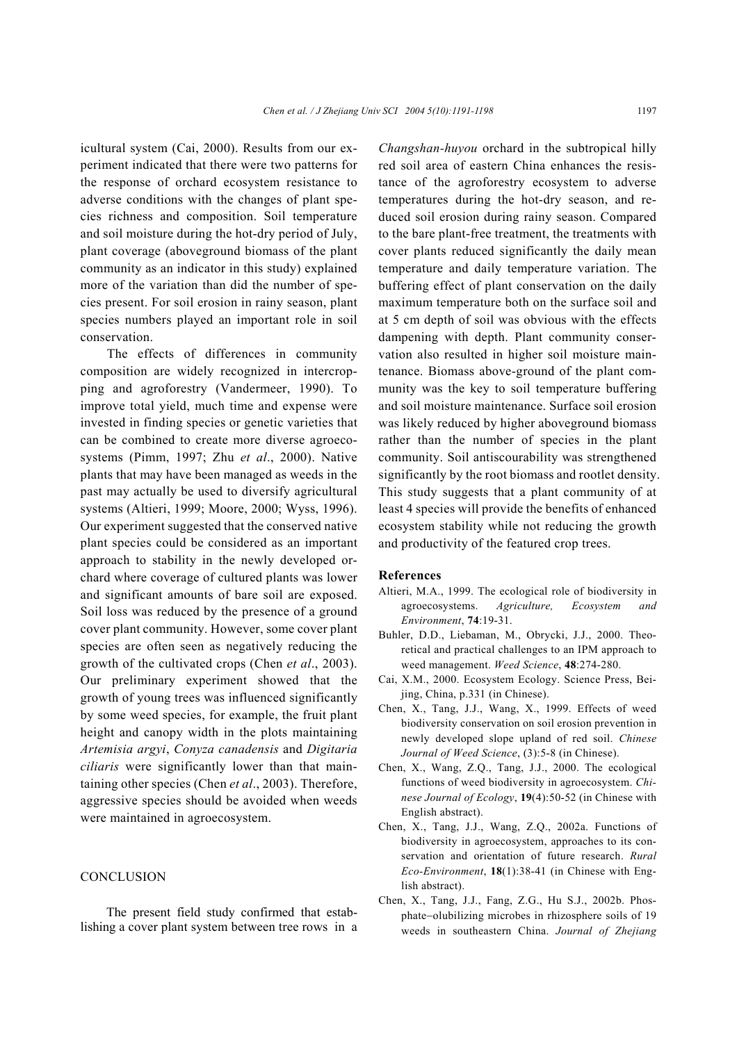icultural system (Cai, 2000). Results from our experiment indicated that there were two patterns for the response of orchard ecosystem resistance to adverse conditions with the changes of plant species richness and composition. Soil temperature and soil moisture during the hot-dry period of July, plant coverage (aboveground biomass of the plant community as an indicator in this study) explained more of the variation than did the number of species present. For soil erosion in rainy season, plant species numbers played an important role in soil conservation.

The effects of differences in community composition are widely recognized in intercropping and agroforestry (Vandermeer, 1990). To improve total yield, much time and expense were invested in finding species or genetic varieties that can be combined to create more diverse agroecosystems (Pimm, 1997; Zhu *et al*., 2000). Native plants that may have been managed as weeds in the past may actually be used to diversify agricultural systems (Altieri, 1999; Moore, 2000; Wyss, 1996). Our experiment suggested that the conserved native plant species could be considered as an important approach to stability in the newly developed orchard where coverage of cultured plants was lower and significant amounts of bare soil are exposed. Soil loss was reduced by the presence of a ground cover plant community. However, some cover plant species are often seen as negatively reducing the growth of the cultivated crops (Chen *et al*., 2003). Our preliminary experiment showed that the growth of young trees was influenced significantly by some weed species, for example, the fruit plant height and canopy width in the plots maintaining *Artemisia argyi*, *Conyza canadensis* and *Digitaria ciliaris* were significantly lower than that maintaining other species (Chen *et al*., 2003). Therefore, aggressive species should be avoided when weeds were maintained in agroecosystem.

## CONCLUSION

The present field study confirmed that establishing a cover plant system between tree rows in a *Changshan-huyou* orchard in the subtropical hilly red soil area of eastern China enhances the resistance of the agroforestry ecosystem to adverse temperatures during the hot-dry season, and reduced soil erosion during rainy season. Compared to the bare plant-free treatment, the treatments with cover plants reduced significantly the daily mean temperature and daily temperature variation. The buffering effect of plant conservation on the daily maximum temperature both on the surface soil and at 5 cm depth of soil was obvious with the effects dampening with depth. Plant community conservation also resulted in higher soil moisture maintenance. Biomass above-ground of the plant community was the key to soil temperature buffering and soil moisture maintenance. Surface soil erosion was likely reduced by higher aboveground biomass rather than the number of species in the plant community. Soil antiscourability was strengthened significantly by the root biomass and rootlet density. This study suggests that a plant community of at least 4 species will provide the benefits of enhanced ecosystem stability while not reducing the growth and productivity of the featured crop trees.

#### **References**

- Altieri, M.A., 1999. The ecological role of biodiversity in agroecosystems. *Agriculture, Ecosystem and Environment*, **74**:19-31.
- Buhler, D.D., Liebaman, M., Obrycki, J.J., 2000. Theoretical and practical challenges to an IPM approach to weed management. *Weed Science*, **48**:274-280.
- Cai, X.M., 2000. Ecosystem Ecology. Science Press, Beijing, China, p.331 (in Chinese).
- Chen, X., Tang, J.J., Wang, X., 1999. Effects of weed biodiversity conservation on soil erosion prevention in newly developed slope upland of red soil. *Chinese Journal of Weed Science*, (3):5-8 (in Chinese).
- Chen, X., Wang, Z.Q., Tang, J.J., 2000. The ecological functions of weed biodiversity in agroecosystem. *Chinese Journal of Ecology*, **19**(4):50-52 (in Chinese with English abstract).
- Chen, X., Tang, J.J., Wang, Z.Q., 2002a. Functions of biodiversity in agroecosystem, approaches to its conservation and orientation of future research. *Rural Eco-Environment*, **18**(1):38-41 (in Chinese with English abstract).
- Chen, X., Tang, J.J., Fang, Z.G., Hu S.J., 2002b. Phosphate−olubilizing microbes in rhizosphere soils of 19 weeds in southeastern China. *Journal of Zhejiang*